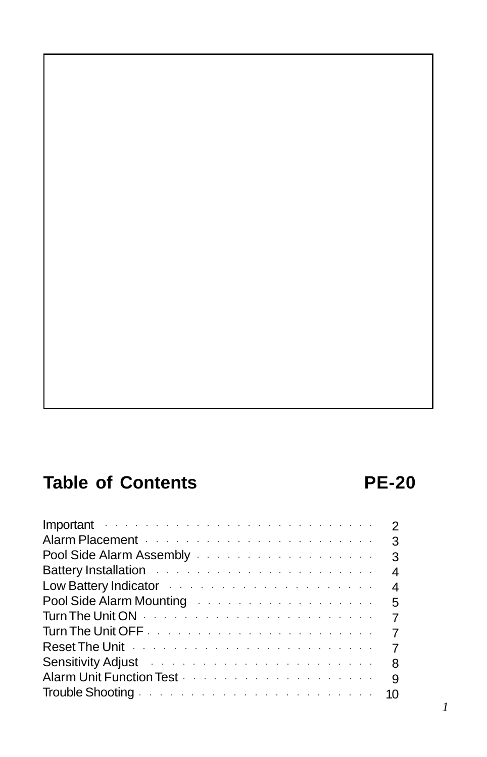# **Table of Contents PE-20**

| Important the contract of the contract of the contract of the contract of the contract of the contract of the contract of the contract of the contract of the contract of the contract of the contract of the contract of the        | $\mathcal{P}$  |
|--------------------------------------------------------------------------------------------------------------------------------------------------------------------------------------------------------------------------------------|----------------|
| Alarm Placement Albert Albert Albert Albert Albert Albert Albert Albert Albert Albert Albert Albert Albert Alb                                                                                                                       | 3              |
| Pool Side Alarm Assembly experience in the set of the Side Alarm Assembly                                                                                                                                                            | 3              |
| Battery Installation and the contract of the state of the state of the state of the state of the state of the                                                                                                                        | 4              |
| Low Battery Indicator <i>Alberta Liberalistics</i> and <i>Low Battery Indicator</i>                                                                                                                                                  | 4              |
| Pool Side Alarm Mounting Albert 2014 and Albert 2014 and State 10 and State 10 and State 10 and State 10 and S                                                                                                                       |                |
| Turn The Unit ON <b>Washington</b> Turn <b>The Unit ON</b>                                                                                                                                                                           | $\overline{7}$ |
|                                                                                                                                                                                                                                      | $\overline{7}$ |
| Reset The Unit <i>Alberta Alberta Alberta Alberta Alberta Alberta Alberta Alberta Alberta Alberta Alberta Alberta Alberta Alberta Alberta Alberta Alberta Alberta Alberta Alberta Alberta Alberta Alberta Alberta Alberta Albert</i> | $\overline{7}$ |
| Sensitivity Adjust the contract of the contract of the Sensitivity Adjust                                                                                                                                                            | 8              |
| Alarm Unit Function Test <b>Alarm Unit Function Test</b> Alarm Alarm Alarm Alarm Alarm Alarm Alarm Alarm Alarm Alarm A                                                                                                               | g              |
|                                                                                                                                                                                                                                      |                |
|                                                                                                                                                                                                                                      |                |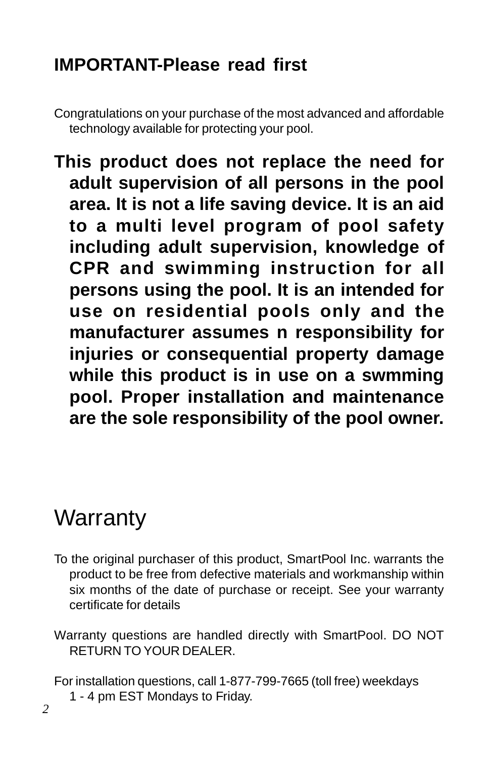# **IMPORTANT-Please read first**

Congratulations on your purchase of the most advanced and affordable technology available for protecting your pool.

**This product does not replace the need for adult supervision of all persons in the pool area. It is not a life saving device. It is an aid to a multi level program of pool safety including adult supervision, knowledge of CPR and swimming instruction for all persons using the pool. It is an intended for use on residential pools only and the manufacturer assumes n responsibility for injuries or consequential property damage while this product is in use on a swmming pool. Proper installation and maintenance are the sole responsibility of the pool owner.**

# **Warranty**

- To the original purchaser of this product, SmartPool Inc. warrants the product to be free from defective materials and workmanship within six months of the date of purchase or receipt. See your warranty certificate for details
- Warranty questions are handled directly with SmartPool. DO NOT RETURN TO YOUR DEALER.

For installation questions, call 1-877-799-7665 (toll free) weekdays

1 - 4 pm EST Mondays to Friday.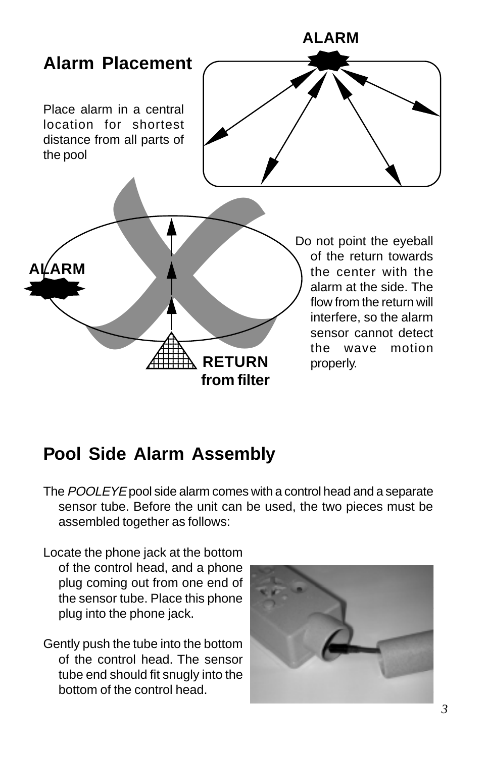

# **Pool Side Alarm Assembly**

- The POOLEYE pool side alarm comes with a control head and a separate sensor tube. Before the unit can be used, the two pieces must be assembled together as follows:
- Locate the phone jack at the bottom of the control head, and a phone plug coming out from one end of the sensor tube. Place this phone plug into the phone jack.
- Gently push the tube into the bottom of the control head. The sensor tube end should fit snugly into the bottom of the control head.

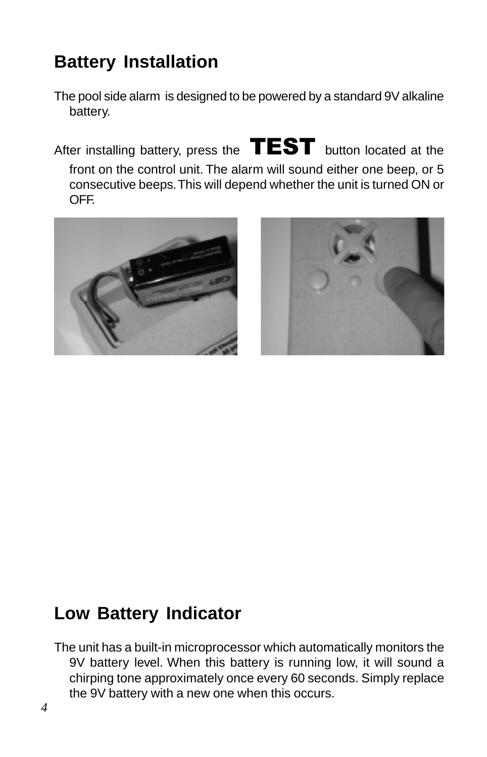# **Battery Installation**

The pool side alarm is designed to be powered by a standard 9V alkaline battery.

After installing battery, press the  $\textbf{TEST}$  button located at the front on the control unit. The alarm will sound either one beep, or 5 consecutive beeps. This will depend whether the unit is turned ON or OFF.





# **Low Battery Indicator**

The unit has a built-in microprocessor which automatically monitors the 9V battery level. When this battery is running low, it will sound a chirping tone approximately once every 60 seconds. Simply replace the 9V battery with a new one when this occurs.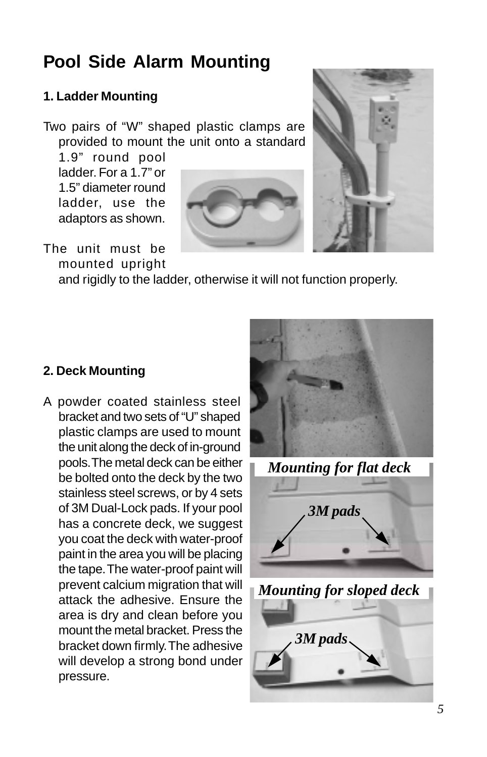# **Pool Side Alarm Mounting**

### **1. Ladder Mounting**

Two pairs of "W" shaped plastic clamps are provided to mount the unit onto a standard

1.9" round pool ladder. For a 1.7" or 1.5" diameter round ladder, use the adaptors as shown.





#### The unit must be mounted upright

and rigidly to the ladder, otherwise it will not function properly.

### **2. Deck Mounting**

A powder coated stainless steel bracket and two sets of "U" shaped plastic clamps are used to mount the unit along the deck of in-ground pools. The metal deck can be either be bolted onto the deck by the two stainless steel screws, or by 4 sets of 3M Dual-Lock pads. If your pool has a concrete deck, we suggest you coat the deck with water-proof paint in the area you will be placing the tape. The water-proof paint will prevent calcium migration that will attack the adhesive. Ensure the area is dry and clean before you mount the metal bracket. Press the bracket down firmly. The adhesive will develop a strong bond under pressure.



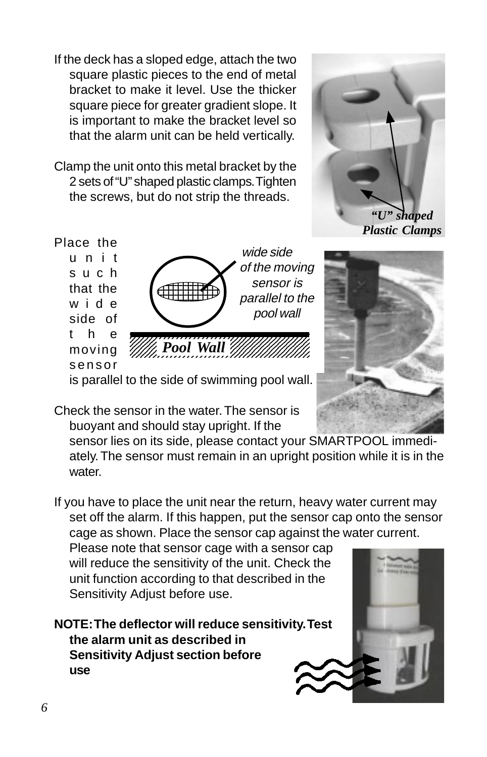If the deck has a sloped edge, attach the two square plastic pieces to the end of metal bracket to make it level. Use the thicker square piece for greater gradient slope. It is important to make the bracket level so that the alarm unit can be held vertically.

Clamp the unit onto this metal bracket by the 2 sets of "U" shaped plastic clamps. Tighten the screws, but do not strip the threads.



*Plastic Clamps*

Place the unit such that the wide side of the moving sensor



is parallel to the side of swimming pool wall.



Check the sensor in the water. The sensor is buoyant and should stay upright. If the

sensor lies on its side, please contact your SMARTPOOL immediately. The sensor must remain in an upright position while it is in the water

If you have to place the unit near the return, heavy water current may set off the alarm. If this happen, put the sensor cap onto the sensor cage as shown. Place the sensor cap against the water current.

Please note that sensor cage with a sensor cap will reduce the sensitivity of the unit. Check the unit function according to that described in the Sensitivity Adjust before use.

**NOTE: The deflector will reduce sensitivity. Test the alarm unit as described in Sensitivity Adjust section before use**

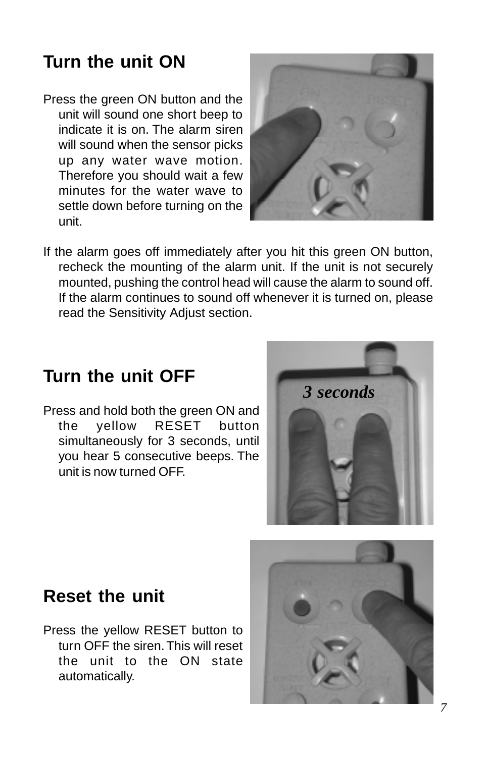# **Turn the unit ON**

Press the green ON button and the unit will sound one short beep to indicate it is on. The alarm siren will sound when the sensor picks up any water wave motion. Therefore you should wait a few minutes for the water wave to settle down before turning on the unit.



If the alarm goes off immediately after you hit this green ON button, recheck the mounting of the alarm unit. If the unit is not securely mounted, pushing the control head will cause the alarm to sound off. If the alarm continues to sound off whenever it is turned on, please read the Sensitivity Adjust section.

# **Turn the unit OFF**

Press and hold both the green ON and the yellow RESET button simultaneously for 3 seconds, until you hear 5 consecutive beeps. The unit is now turned OFF.



### **Reset the unit**

Press the yellow RESET button to turn OFF the siren. This will reset the unit to the ON state automatically.

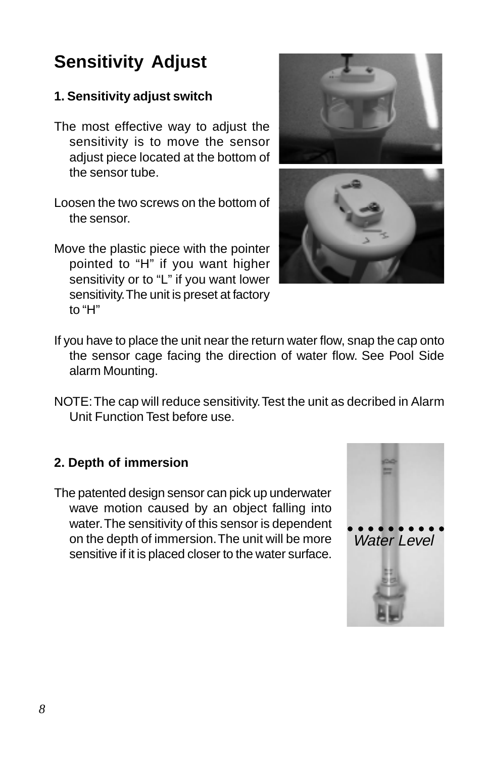# **Sensitivity Adjust**

### **1. Sensitivity adjust switch**

- The most effective way to adjust the sensitivity is to move the sensor adjust piece located at the bottom of the sensor tube.
- Loosen the two screws on the bottom of the sensor.
- Move the plastic piece with the pointer pointed to "H" if you want higher sensitivity or to "L" if you want lower sensitivity. The unit is preset at factory to "H"





- If you have to place the unit near the return water flow, snap the cap onto the sensor cage facing the direction of water flow. See Pool Side alarm Mounting.
- NOTE: The cap will reduce sensitivity. Test the unit as decribed in Alarm Unit Function Test before use.

### **2. Depth of immersion**

The patented design sensor can pick up underwater wave motion caused by an object falling into water. The sensitivity of this sensor is dependent on the depth of immersion. The unit will be more sensitive if it is placed closer to the water surface.

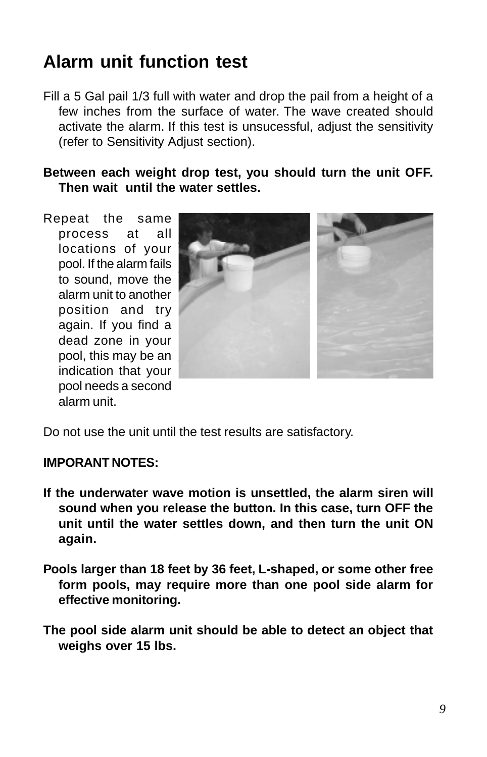# **Alarm unit function test**

Fill a 5 Gal pail 1/3 full with water and drop the pail from a height of a few inches from the surface of water. The wave created should activate the alarm. If this test is unsucessful, adjust the sensitivity (refer to Sensitivity Adjust section).

### **Between each weight drop test, you should turn the unit OFF. Then wait until the water settles.**

Repeat the same process at all locations of your pool. If the alarm fails to sound, move the alarm unit to another position and try again. If you find a dead zone in your pool, this may be an indication that your pool needs a second alarm unit.



Do not use the unit until the test results are satisfactory.

#### **IMPORANT NOTES:**

- **If the underwater wave motion is unsettled, the alarm siren will sound when you release the button. In this case, turn OFF the unit until the water settles down, and then turn the unit ON again.**
- **Pools larger than 18 feet by 36 feet, L-shaped, or some other free form pools, may require more than one pool side alarm for effective monitoring.**
- **The pool side alarm unit should be able to detect an object that weighs over 15 lbs.**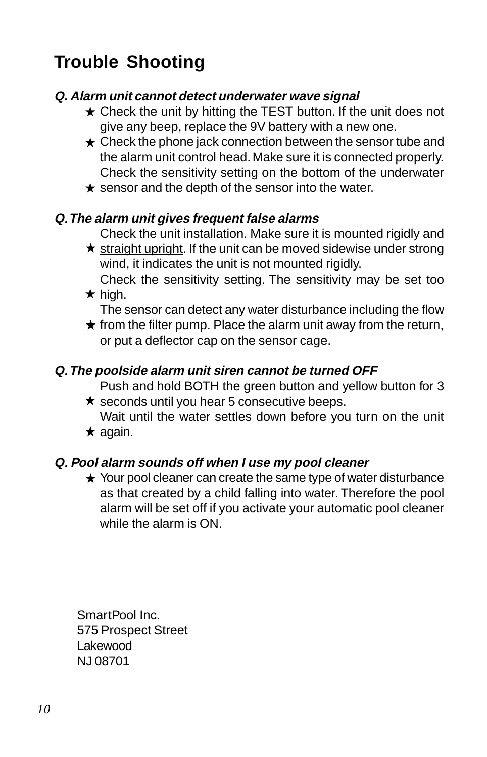# **Trouble Shooting**

### **Q. Alarm unit cannot detect underwater wave signal**

- $\star$  Check the unit by hitting the TEST button. If the unit does not give any beep, replace the 9V battery with a new one.
- $\star$  Check the phone jack connection between the sensor tube and the alarm unit control head. Make sure it is connected properly. Check the sensitivity setting on the bottom of the underwater
- $\star$  sensor and the depth of the sensor into the water.

### **Q. The alarm unit gives frequent false alarms**

Check the unit installation. Make sure it is mounted rigidly and

- $\star$  straight upright. If the unit can be moved sidewise under strong wind, it indicates the unit is not mounted rigidly. Check the sensitivity setting. The sensitivity may be set too
- $\star$  high.
	- The sensor can detect any water disturbance including the flow
- $\star$  from the filter pump. Place the alarm unit away from the return, or put a deflector cap on the sensor cage.

### **Q. The poolside alarm unit siren cannot be turned OFF**

Push and hold BOTH the green button and yellow button for 3

- $\star$  seconds until you hear 5 consecutive beeps. Wait until the water settles down before you turn on the unit
- $\star$  again.

### **Q. Pool alarm sounds off when I use my pool cleaner**

 $\star$  Your pool cleaner can create the same type of water disturbance as that created by a child falling into water. Therefore the pool alarm will be set off if you activate your automatic pool cleaner while the alarm is ON.

SmartPool Inc. 575 Prospect Street Lakewood NJ 08701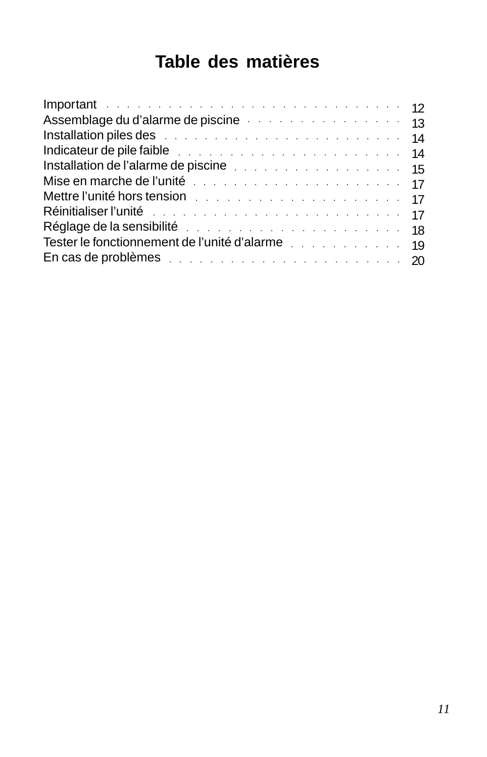# **Table des matières**

| Indicateur de pile faible et al., and a series and a series and a series of 14                                 |  |  |
|----------------------------------------------------------------------------------------------------------------|--|--|
|                                                                                                                |  |  |
|                                                                                                                |  |  |
| Mettre l'unité hors tension du mateur de la contrattura de la contratta de la contratta de la contratta de la  |  |  |
| Réinitialiser l'unité de la communication de la communistration de la communistration de la communistration de |  |  |
| Réglage de la sensibilité du manuel du manuel de la sensibilité du manuel du manuel de la sensibilité du manue |  |  |
| Tester le fonctionnement de l'unité d'alarme                                                                   |  |  |
| En cas de problèmes et als entre entre en entre en la problèmes et als entre en entre en la proponent de la p  |  |  |
|                                                                                                                |  |  |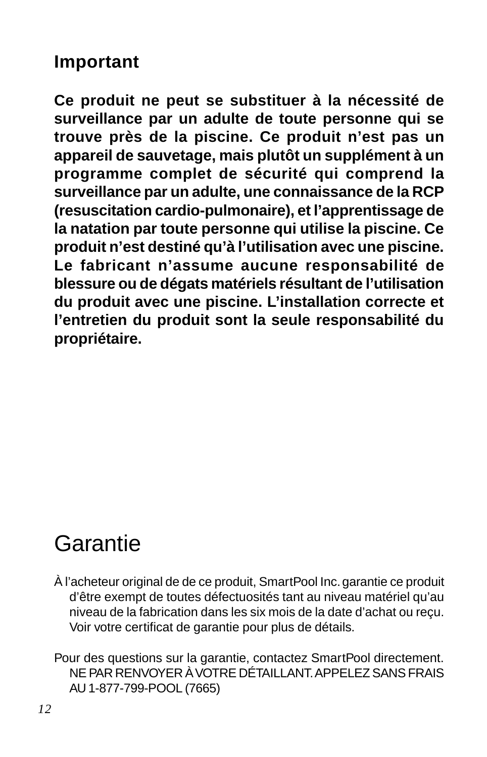### **Important**

**Ce produit ne peut se substituer à la nécessité de surveillance par un adulte de toute personne qui se trouve près de la piscine. Ce produit n'est pas un appareil de sauvetage, mais plutôt un supplément à un programme complet de sécurité qui comprend la surveillance par un adulte, une connaissance de la RCP (resuscitation cardio-pulmonaire), et l'apprentissage de la natation par toute personne qui utilise la piscine. Ce produit n'est destiné qu'à l'utilisation avec une piscine. Le fabricant n'assume aucune responsabilité de blessure ou de dégats matériels résultant de l'utilisation du produit avec une piscine. L'installation correcte et l'entretien du produit sont la seule responsabilité du propriétaire.**

# Garantie

- À l'acheteur original de de ce produit, SmartPool Inc. garantie ce produit d'être exempt de toutes défectuosités tant au niveau matériel qu'au niveau de la fabrication dans les six mois de la date d'achat ou reçu. Voir votre certificat de garantie pour plus de détails.
- Pour des questions sur la garantie, contactez SmartPool directement. NE PAR RENVOYER À VOTRE DÉTAILLANT. APPELEZ SANS FRAIS AU 1-877-799-POOL (7665)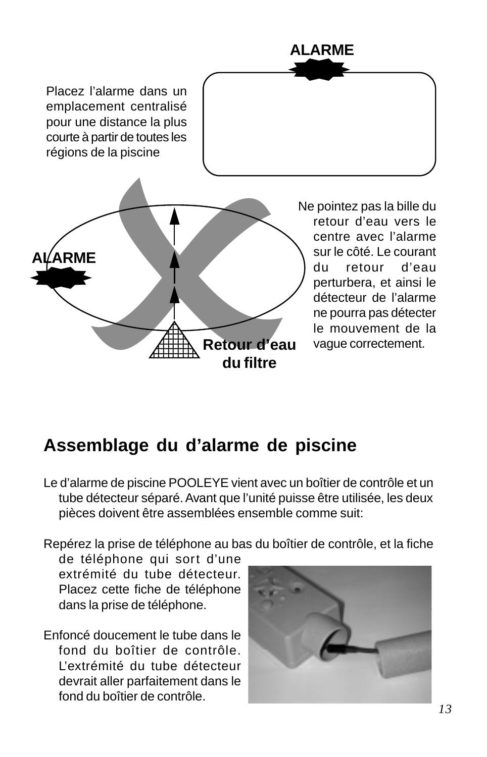

# **Assemblage du d'alarme de piscine**

Le d'alarme de piscine POOLEYE vient avec un boîtier de contrôle et un tube détecteur séparé. Avant que l'unité puisse être utilisée, les deux pièces doivent être assemblées ensemble comme suit:

Repérez la prise de téléphone au bas du boîtier de contrôle, et la fiche

de téléphone qui sort d'une extrémité du tube détecteur. Placez cette fiche de téléphone dans la prise de téléphone.

Enfoncé doucement le tube dans le fond du boîtier de contrôle. L'extrémité du tube détecteur devrait aller parfaitement dans le fond du boîtier de contrôle.

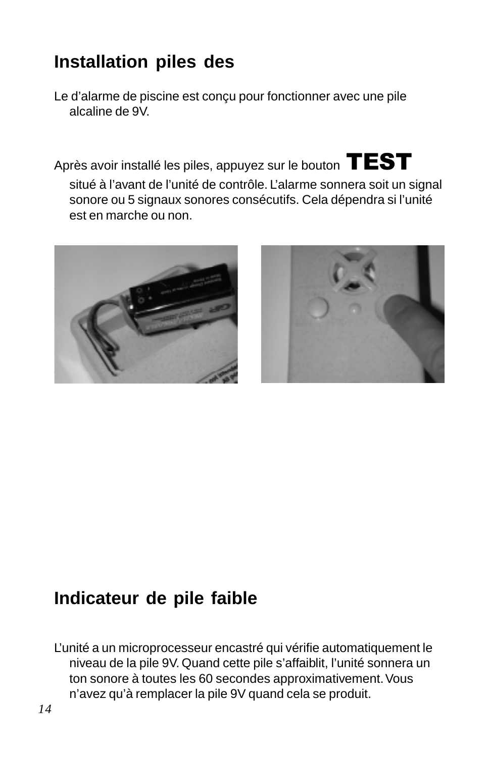# **Installation piles des**

Le d'alarme de piscine est conçu pour fonctionner avec une pile alcaline de 9V.

Après avoir installé les piles, appuyez sur le bouton  $\text{TEST}$ 

situé à l'avant de l'unité de contrôle. L'alarme sonnera soit un signal sonore ou 5 signaux sonores consécutifs. Cela dépendra si l'unité est en marche ou non.





# **Indicateur de pile faible**

L'unité a un microprocesseur encastré qui vérifie automatiquement le niveau de la pile 9V. Quand cette pile s'affaiblit, l'unité sonnera un ton sonore à toutes les 60 secondes approximativement. Vous n'avez qu'à remplacer la pile 9V quand cela se produit.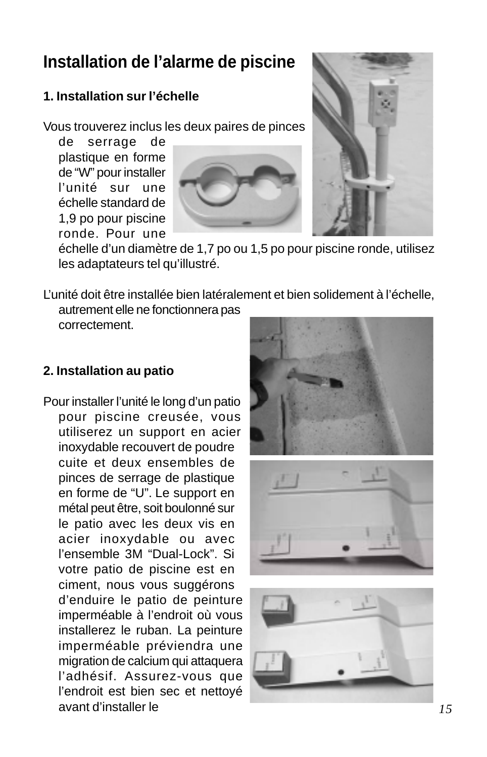# **Installation de l'alarme de piscine**

### **1. Installation sur l'échelle**

Vous trouverez inclus les deux paires de pinces

de serrage de plastique en forme de "W" pour installer l'unité sur une échelle standard de 1,9 po pour piscine ronde. Pour une





échelle d'un diamètre de 1,7 po ou 1,5 po pour piscine ronde, utilisez les adaptateurs tel qu'illustré.

L'unité doit être installée bien latéralement et bien solidement à l'échelle, autrement elle ne fonctionnera pas

correctement.

### **2. Installation au patio**

Pour installer l'unité le long d'un patio pour piscine creusée, vous utiliserez un support en acier inoxydable recouvert de poudre cuite et deux ensembles de pinces de serrage de plastique en forme de "U". Le support en métal peut être, soit boulonné sur le patio avec les deux vis en acier inoxydable ou avec l'ensemble 3M "Dual-Lock". Si votre patio de piscine est en ciment, nous vous suggérons d'enduire le patio de peinture imperméable à l'endroit où vous installerez le ruban. La peinture imperméable préviendra une migration de calcium qui attaquera l'adhésif. Assurez-vous que l'endroit est bien sec et nettoyé avant d'installer le *15*

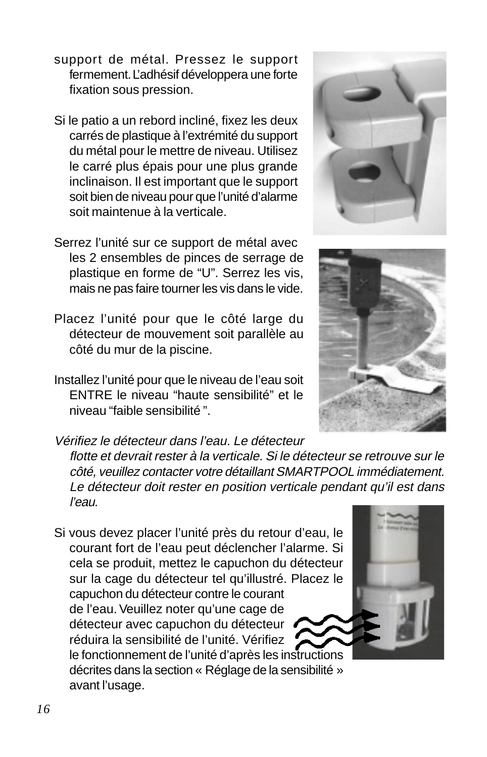- support de métal. Pressez le support fermement. L'adhésif développera une forte fixation sous pression.
- Si le patio a un rebord incliné, fixez les deux carrés de plastique à l'extrémité du support du métal pour le mettre de niveau. Utilisez le carré plus épais pour une plus grande inclinaison. Il est important que le support soit bien de niveau pour que l'unité d'alarme soit maintenue à la verticale.
- Serrez l'unité sur ce support de métal avec les 2 ensembles de pinces de serrage de plastique en forme de "U". Serrez les vis, mais ne pas faire tourner les vis dans le vide.
- Placez l'unité pour que le côté large du détecteur de mouvement soit parallèle au côté du mur de la piscine.
- Installez l'unité pour que le niveau de l'eau soit ENTRE le niveau "haute sensibilité" et le niveau "faible sensibilité ".
- Vérifiez le détecteur dans l'eau. Le détecteur flotte et devrait rester à la verticale. Si le détecteur se retrouve sur le côté, veuillez contacter votre détaillant SMARTPOOL immédiatement. Le détecteur doit rester en position verticale pendant qu'il est dans l'eau.
- Si vous devez placer l'unité près du retour d'eau, le courant fort de l'eau peut déclencher l'alarme. Si cela se produit, mettez le capuchon du détecteur sur la cage du détecteur tel qu'illustré. Placez le capuchon du détecteur contre le courant de l'eau. Veuillez noter qu'une cage de détecteur avec capuchon du détecteur réduira la sensibilité de l'unité. Vérifiez le fonctionnement de l'unité d'après les instructions décrites dans la section « Réglage de la sensibilité » avant l'usage.



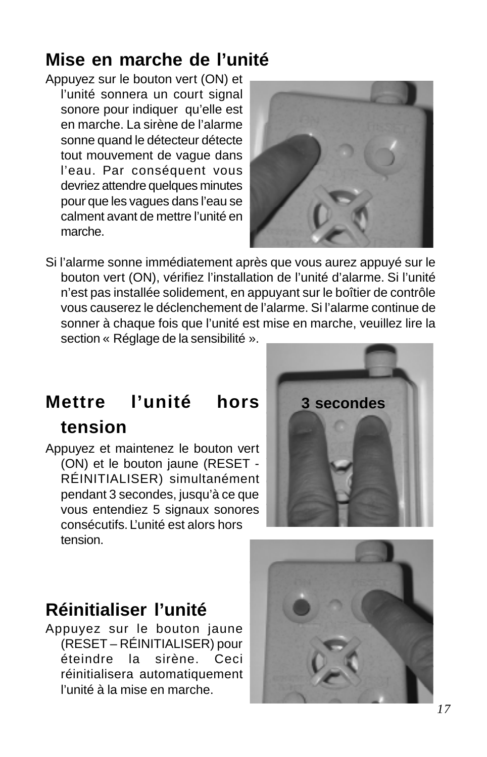# **Mise en marche de l'unité**

Appuyez sur le bouton vert (ON) et l'unité sonnera un court signal sonore pour indiquer qu'elle est en marche. La sirène de l'alarme sonne quand le détecteur détecte tout mouvement de vague dans l'eau. Par conséquent vous devriez attendre quelques minutes pour que les vagues dans l'eau se calment avant de mettre l'unité en marche.



Si l'alarme sonne immédiatement après que vous aurez appuyé sur le bouton vert (ON), vérifiez l'installation de l'unité d'alarme. Si l'unité n'est pas installée solidement, en appuyant sur le boîtier de contrôle vous causerez le déclenchement de l'alarme. Si l'alarme continue de sonner à chaque fois que l'unité est mise en marche, veuillez lire la section « Réglage de la sensibilité ».

# **Mettre l'unité hors tension**

Appuyez et maintenez le bouton vert (ON) et le bouton jaune (RESET - RÉINITIALISER) simultanément pendant 3 secondes, jusqu'à ce que vous entendiez 5 signaux sonores consécutifs. L'unité est alors hors tension.



# **Réinitialiser l'unité**

Appuyez sur le bouton jaune (RESET – RÉINITIALISER) pour éteindre la sirène. Ceci réinitialisera automatiquement l'unité à la mise en marche.

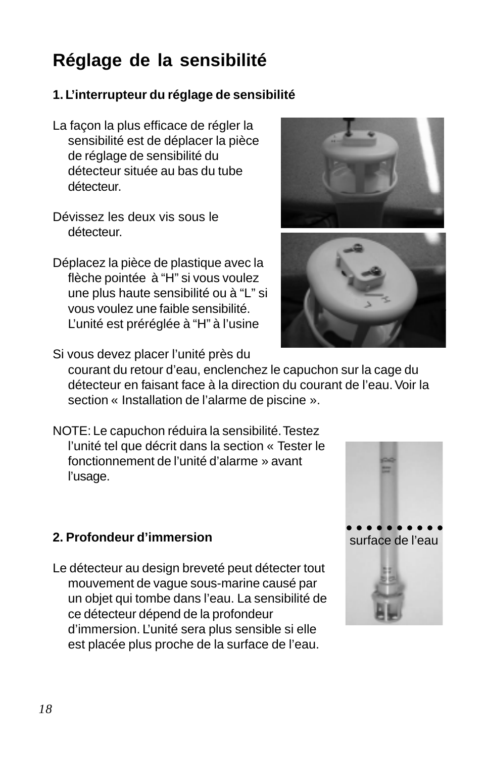# **Réglage de la sensibilité**

### **1. L'interrupteur du réglage de sensibilité**

- La façon la plus efficace de régler la sensibilité est de déplacer la pièce de réglage de sensibilité du détecteur située au bas du tube détecteur.
- Dévissez les deux vis sous le détecteur.
- Déplacez la pièce de plastique avec la flèche pointée à "H" si vous voulez une plus haute sensibilité ou à "L" si vous voulez une faible sensibilité. L'unité est préréglée à "H" à l'usine





- Si vous devez placer l'unité près du courant du retour d'eau, enclenchez le capuchon sur la cage du détecteur en faisant face à la direction du courant de l'eau. Voir la section « Installation de l'alarme de piscine ».
- NOTE: Le capuchon réduira la sensibilité. Testez l'unité tel que décrit dans la section « Tester le fonctionnement de l'unité d'alarme » avant l'usage.

### **2. Profondeur d'immersion**

Le détecteur au design breveté peut détecter tout mouvement de vague sous-marine causé par un objet qui tombe dans l'eau. La sensibilité de ce détecteur dépend de la profondeur d'immersion. L'unité sera plus sensible si elle est placée plus proche de la surface de l'eau.

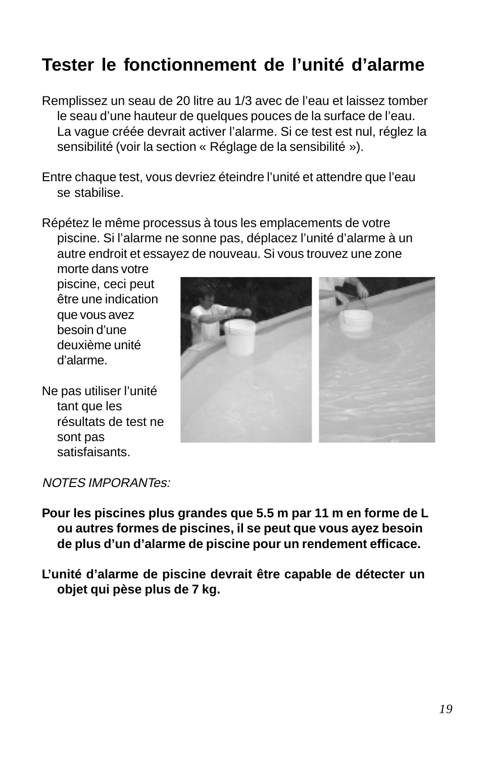# **Tester le fonctionnement de l'unité d'alarme**

- Remplissez un seau de 20 litre au 1/3 avec de l'eau et laissez tomber le seau d'une hauteur de quelques pouces de la surface de l'eau. La vague créée devrait activer l'alarme. Si ce test est nul, réglez la sensibilité (voir la section « Réglage de la sensibilité »).
- Entre chaque test, vous devriez éteindre l'unité et attendre que l'eau se stabilise.
- Répétez le même processus à tous les emplacements de votre piscine. Si l'alarme ne sonne pas, déplacez l'unité d'alarme à un autre endroit et essayez de nouveau. Si vous trouvez une zone

morte dans votre piscine, ceci peut être une indication que vous avez besoin d'une deuxième unité d'alarme.

Ne pas utiliser l'unité tant que les résultats de test ne sont pas satisfaisants.



NOTES IMPORANTes:

- **Pour les piscines plus grandes que 5.5 m par 11 m en forme de L ou autres formes de piscines, il se peut que vous ayez besoin de plus d'un d'alarme de piscine pour un rendement efficace.**
- **L'unité d'alarme de piscine devrait être capable de détecter un objet qui pèse plus de 7 kg.**